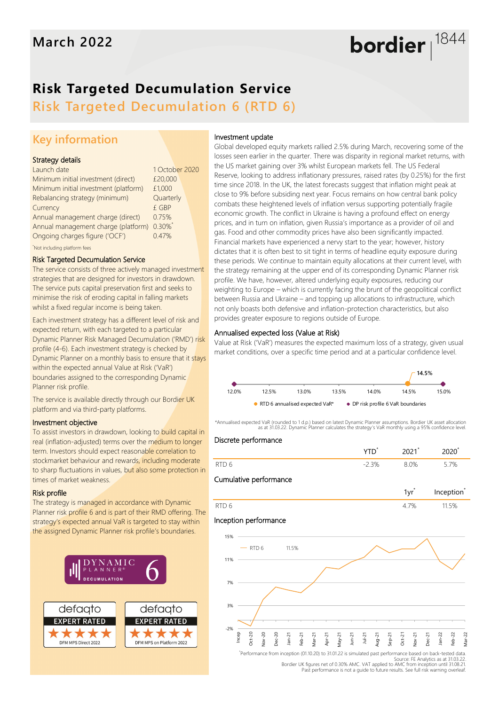# **Risk Targeted Decumulation Service**

**Risk Targeted Decumulation 6 (RTD 6)**

## **Key information**

### Strategy details

| Launch date                                | 1 October 2020 |  |
|--------------------------------------------|----------------|--|
| Minimum initial investment (direct)        | £20,000        |  |
| Minimum initial investment (platform)      | £1,000         |  |
| Rebalancing strategy (minimum)             | Quarterly      |  |
| Currency                                   | £ GBP          |  |
| Annual management charge (direct)          | 0.75%          |  |
| Annual management charge (platform) 0.30%* |                |  |
| Ongoing charges figure ('OCF')             | 0.47%          |  |
|                                            |                |  |

\*Not including platform fees

#### Risk Targeted Decumulation Service

The service consists of three actively managed investment strategies that are designed for investors in drawdown. The service puts capital preservation first and seeks to minimise the risk of eroding capital in falling markets whilst a fixed regular income is being taken.

Each investment strategy has a different level of risk and expected return, with each targeted to a particular Dynamic Planner Risk Managed Decumulation ('RMD') risk profile (4-6). Each investment strategy is checked by Dynamic Planner on a monthly basis to ensure that it stays within the expected annual Value at Risk ('VaR') boundaries assigned to the corresponding Dynamic Planner risk profile.

The service is available directly through our Bordier UK platform and via third-party platforms.

### Investment objective

To assist investors in drawdown, looking to build capital in real (inflation-adjusted) terms over the medium to longer term. Investors should expect reasonable correlation to stockmarket behaviour and rewards, including moderate to sharp fluctuations in values, but also some protection in times of market weakness.

### Risk profile

The strategy is managed in accordance with Dynamic Planner risk profile 6 and is part of their RMD offering. The strategy's expected annual VaR is targeted to stay within the assigned Dynamic Planner risk profile's boundaries.



### Investment update

Global developed equity markets rallied 2.5% during March, recovering some of the losses seen earlier in the quarter. There was disparity in regional market returns, with the US market gaining over 3% whilst European markets fell. The US Federal Reserve, looking to address inflationary pressures, raised rates (by 0.25%) for the first time since 2018. In the UK, the latest forecasts suggest that inflation might peak at close to 9% before subsiding next year. Focus remains on how central bank policy combats these heightened levels of inflation versus supporting potentially fragile economic growth. The conflict in Ukraine is having a profound effect on energy prices, and in turn on inflation, given Russia's importance as a provider of oil and gas. Food and other commodity prices have also been significantly impacted. Financial markets have experienced a nervy start to the year; however, history dictates that it is often best to sit tight in terms of headline equity exposure during these periods. We continue to maintain equity allocations at their current level, with the strategy remaining at the upper end of its corresponding Dynamic Planner risk profile. We have, however, altered underlying equity exposures, reducing our weighting to Europe – which is currently facing the brunt of the geopolitical conflict between Russia and Ukraine – and topping up allocations to infrastructure, which not only boasts both defensive and inflation-protection characteristics, but also provides greater exposure to regions outside of Europe.

bordier  $1844$ 

### Annualised expected loss (Value at Risk)

Value at Risk ('VaR') measures the expected maximum loss of a strategy, given usual market conditions, over a specific time period and at a particular confidence level.



\*Annualised expected VaR (rounded to 1 d.p.) based on latest Dynamic Planner assumptions. Bordier UK asset allocation as at 31.03.22. Dynamic Planner calculates the strategy's VaR monthly using a 95% confidence level.